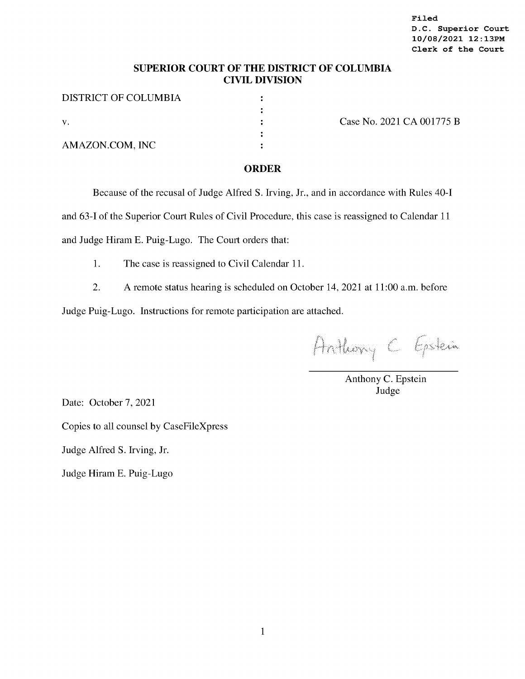### **SUPERIOR COURT OF THE DISTRICT OF COLUMBIA CIVIL DIVISION**

| DISTRICT OF COLUMBIA |  |
|----------------------|--|
|                      |  |
| V.                   |  |
|                      |  |
| AMAZON.COM, INC      |  |

v. Case No. 2021 CA 001775 B

#### **ORDER**

Because of the recusal of Judge Alfred S. Irving, Jr., and in accordance with Rules 40-1

and 63-1 of the Superior Court Rules of Civil Procedure, this case is reassigned to Calendar 11

and Judge Hiram E. Puig-Lugo. The Court orders that:

1. The case is reassigned to Civil Calendar 11.

2. A remote status hearing is scheduled on October 14, 2021 at 11:00 a.m. before

Judge Puig-Lugo. Instructions for remote participation are attached.

Arthony C Epstein

Anthony C. Epstein Judge

Date: October 7, 2021

Copies to all counsel by CaseFileXpress

Judge Alfred S. Irving, Jr.

Judge Hiram E. Puig-Lugo